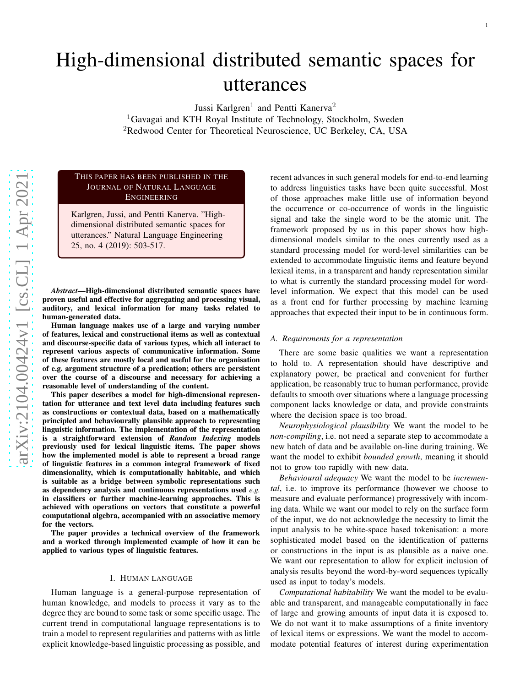# High-dimensional distributed semantic spaces for utterances

Jussi Karlgren<sup>1</sup> and Pentti Kanerva<sup>2</sup> <sup>1</sup>Gavagai and KTH Royal Institute of Technology, Stockholm, Sweden <sup>2</sup>Redwood Center for Theoretical Neuroscience, UC Berkeley, CA, USA

# THIS PAPER HAS BEEN PUBLISHED IN THE JOURNAL OF NATURAL LANGUAGE ENGINEERING

Karlgren, Jussi, and Pentti Kanerva. "Highdimensional distributed semantic spaces for utterances." Natural Language Engineering 25, no. 4 (2019): 503-517.

*Abstract*—High-dimensional distributed semantic spaces have proven useful and effective for aggregating and processing visual, auditory, and lexical information for many tasks related to human-generated data.

Human language makes use of a large and varying number of features, lexical and constructional items as well as contextual and discourse-specific data of various types, which all interact to represent various aspects of communicative information. Some of these features are mostly local and useful for the organisation of e.g. argument structure of a predication; others are persistent over the course of a discourse and necessary for achieving a reasonable level of understanding of the content.

This paper describes a model for high-dimensional represen tation for utterance and text level data including features such as constructions or contextual data, based on a mathematically principled and behaviourally plausible approach to representing linguistic information. The implementation of the representation is a straightforward extension of *Random Indexing* models previously used for lexical linguistic items. The paper shows how the implemented model is able to represent a broad range of linguistic features in a common integral framework of fixe d dimensionality, which is computationally habitable, and which is suitable as a bridge between symbolic representations such as dependency analysis and continuous representations use d *e.g.* in classifiers or further machine-learning approaches. This is achieved with operations on vectors that constitute a powerful computational algebra, accompanied with an associative memory for the vectors.

The paper provides a technical overview of the framework and a worked through implemented example of how it can be applied to various types of linguistic features.

## I. HUMAN LANGUAGE

Human language is a general-purpose representation of human knowledge, and models to process it vary as to the degree they are bound to some task or some specific usage. The current trend in computational language representations is to train a model to represent regularities and patterns with as little explicit knowledge-based linguistic processing as possible, and

recent advances in such general models for end-to-end learning to address linguistics tasks have been quite successful. Most of those approaches make little use of information beyond the occurrence or co-occurrence of words in the linguistic signal and take the single word to be the atomic unit. The framework proposed by us in this paper shows how highdimensional models similar to the ones currently used as a standard processing model for word-level similarities can be extended to accommodate linguistic items and feature beyon d lexical items, in a transparent and handy representation similar to what is currently the standard processing model for wordlevel information. We expect that this model can be used as a front end for further processing by machine learning approaches that expected their input to be in continuous form.

# *A. Requirements for a representation*

There are some basic qualities we want a representation to hold to. A representation should have descriptive and explanatory power, be practical and convenient for further application, be reasonably true to human performance, provide defaults to smooth over situations where a language processing component lacks knowledge or data, and provide constraints where the decision space is too broad.

*Neurophysiological plausibility* We want the model to be *non-compiling*, i.e. not need a separate step to accommodate a new batch of data and be available on-line during training. We want the model to exhibit *bounded growth*, meaning it should not to grow too rapidly with new data.

*Behavioural adequacy* We want the model to be *incremental*, i.e. to improve its performance (however we choose to measure and evaluate performance) progressively with incoming data. While we want our model to rely on the surface form of the input, we do not acknowledge the necessity to limit the input analysis to be white-space based tokenisation: a more sophisticated model based on the identification of patterns or constructions in the input is as plausible as a naive one. We want our representation to allow for explicit inclusion o f analysis results beyond the word-by-word sequences typically used as input to today's models.

*Computational habitability* We want the model to be evaluable and transparent, and manageable computationally in face of large and growing amounts of input data it is exposed to. We do not want it to make assumptions of a finite inventory of lexical items or expressions. We want the model to accommodate potential features of interest during experimentation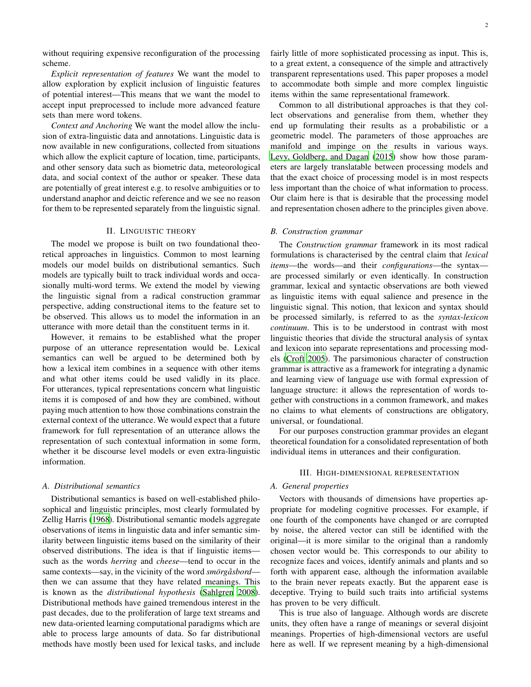*Explicit representation of features* We want the model to allow exploration by explicit inclusion of linguistic features of potential interest—This means that we want the model to accept input preprocessed to include more advanced feature sets than mere word tokens.

*Context and Anchoring* We want the model allow the inclusion of extra-linguistic data and annotations. Linguistic data is now available in new configurations, collected from situations which allow the explicit capture of location, time, participants, and other sensory data such as biometric data, meteorological data, and social context of the author or speaker. These data are potentially of great interest e.g. to resolve ambiguities or to understand anaphor and deictic reference and we see no reason for them to be represented separately from the linguistic signal.

#### II. LINGUISTIC THEORY

The model we propose is built on two foundational theoretical approaches in linguistics. Common to most learning models our model builds on distributional semantics. Such models are typically built to track individual words and occasionally multi-word terms. We extend the model by viewing the linguistic signal from a radical construction grammar perspective, adding constructional items to the feature set to be observed. This allows us to model the information in an utterance with more detail than the constituent terms in it.

However, it remains to be established what the proper purpose of an utterance representation would be. Lexical semantics can well be argued to be determined both by how a lexical item combines in a sequence with other items and what other items could be used validly in its place. For utterances, typical representations concern what linguistic items it is composed of and how they are combined, without paying much attention to how those combinations constrain the external context of the utterance. We would expect that a future framework for full representation of an utterance allows the representation of such contextual information in some form, whether it be discourse level models or even extra-linguistic information.

# *A. Distributional semantics*

Distributional semantics is based on well-established philosophical and linguistic principles, most clearly formulated by Zellig Harris [\(1968\)](#page-8-0). Distributional semantic models aggregate observations of items in linguistic data and infer semantic similarity between linguistic items based on the similarity of their observed distributions. The idea is that if linguistic items such as the words *herring* and *cheese*—tend to occur in the same contexts—say, in the vicinity of the word *smörgåsbord* then we can assume that they have related meanings. This is known as the *distributional hypothesis* [\(Sahlgren 2008](#page-8-1)). Distributional methods have gained tremendous interest in the past decades, due to the proliferation of large text streams and new data-oriented learning computational paradigms which are able to process large amounts of data. So far distributional methods have mostly been used for lexical tasks, and include fairly little of more sophisticated processing as input. This is, to a great extent, a consequence of the simple and attractively transparent representations used. This paper proposes a model to accommodate both simple and more complex linguistic items within the same representational framework.

Common to all distributional approaches is that they collect observations and generalise from them, whether they end up formulating their results as a probabilistic or a geometric model. The parameters of those approaches are manifold and impinge on the results in various ways. [Levy, Goldberg, and Dagan \(2015\)](#page-8-2) show how those parameters are largely translatable between processing models and that the exact choice of processing model is in most respects less important than the choice of what information to process. Our claim here is that is desirable that the processing model and representation chosen adhere to the principles given above.

## *B. Construction grammar*

The *Construction grammar* framework in its most radical formulations is characterised by the central claim that *lexical items*—the words—and their *configurations*—the syntax are processed similarly or even identically. In construction grammar, lexical and syntactic observations are both viewed as linguistic items with equal salience and presence in the linguistic signal. This notion, that lexicon and syntax should be processed similarly, is referred to as the *syntax-lexicon continuum*. This is to be understood in contrast with most linguistic theories that divide the structural analysis of syntax and lexicon into separate representations and processing models [\(Croft 2005\)](#page-8-3). The parsimonious character of construction grammar is attractive as a framework for integrating a dynamic and learning view of language use with formal expression of language structure: it allows the representation of words together with constructions in a common framework, and makes no claims to what elements of constructions are obligatory, universal, or foundational.

For our purposes construction grammar provides an elegant theoretical foundation for a consolidated representation of both individual items in utterances and their configuration.

# III. HIGH-DIMENSIONAL REPRESENTATION

# <span id="page-1-0"></span>*A. General properties*

Vectors with thousands of dimensions have properties appropriate for modeling cognitive processes. For example, if one fourth of the components have changed or are corrupted by noise, the altered vector can still be identified with the original—it is more similar to the original than a randomly chosen vector would be. This corresponds to our ability to recognize faces and voices, identify animals and plants and so forth with apparent ease, although the information available to the brain never repeats exactly. But the apparent ease is deceptive. Trying to build such traits into artificial systems has proven to be very difficult.

This is true also of language. Although words are discrete units, they often have a range of meanings or several disjoint meanings. Properties of high-dimensional vectors are useful here as well. If we represent meaning by a high-dimensional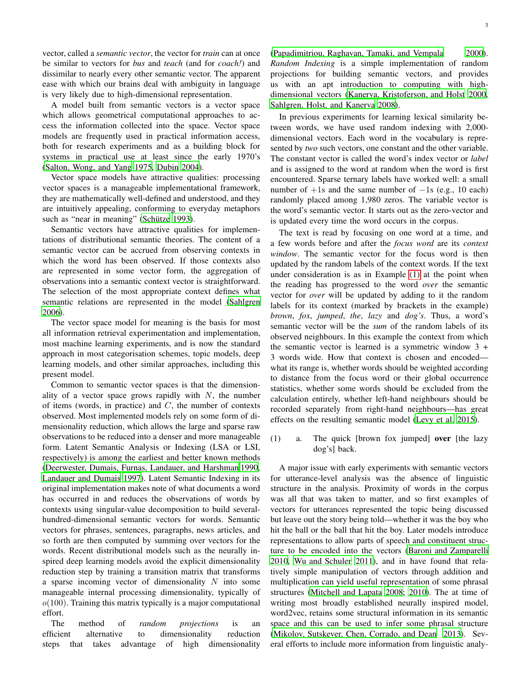vector, called a *semantic vector*, the vector for *train* can at once be similar to vectors for *bus* and *teach* (and for *coach!*) and dissimilar to nearly every other semantic vector. The apparent ease with which our brains deal with ambiguity in language is very likely due to high-dimensional representation.

A model built from semantic vectors is a vector space which allows geometrical computational approaches to access the information collected into the space. Vector space models are frequently used in practical information access, both for research experiments and as a building block for systems in practical use at least since the early 1970's [\(Salton, Wong, and Yang 1975](#page-8-4), [Dubin 2004\)](#page-8-5).

Vector space models have attractive qualities: processing vector spaces is a manageable implementational framework, they are mathematically well-defined and understood, and they are intuitively appealing, conforming to everyday metaphors such as "near in meaning" (Schütze 1993).

Semantic vectors have attractive qualities for implementations of distributional semantic theories. The content of a semantic vector can be accrued from observing contexts in which the word has been observed. If those contexts also are represented in some vector form, the aggregation of observations into a semantic context vector is straightforward. The selection of the most appropriate context defines what semantic relations are represented in the model [\(Sahlgren](#page-8-7) [2006\)](#page-8-7).

The vector space model for meaning is the basis for most all information retrieval experimentation and implementation, most machine learning experiments, and is now the standard approach in most categorisation schemes, topic models, deep learning models, and other similar approaches, including this present model.

Common to semantic vector spaces is that the dimensionality of a vector space grows rapidly with  $N$ , the number of items (words, in practice) and  $C$ , the number of contexts observed. Most implemented models rely on some form of dimensionality reduction, which allows the large and sparse raw observations to be reduced into a denser and more manageable form. Latent Semantic Analysis or Indexing (LSA or LSI, respectively) is among the earliest and better known methods [\(Deerwester, Dumais, Furnas, Landauer, and Harshman 1990,](#page-8-8) [Landauer and Dumais 1997](#page-8-9)). Latent Semantic Indexing in its original implementation makes note of what documents a word has occurred in and reduces the observations of words by contexts using singular-value decomposition to build severalhundred-dimensional semantic vectors for words. Semantic vectors for phrases, sentences, paragraphs, news articles, and so forth are then computed by summing over vectors for the words. Recent distributional models such as the neurally inspired deep learning models avoid the explicit dimensionality reduction step by training a transition matrix that transforms a sparse incoming vector of dimensionality  $N$  into some manageable internal processing dimensionality, typically of  $o(100)$ . Training this matrix typically is a major computational effort.

The method of *random projections* is an efficient alternative to dimensionality reduction steps that takes advantage of high dimensionality [\(Papadimitriou, Raghavan, Tamaki, and Vempala 2000\)](#page-8-10). *Random Indexing* is a simple implementation of random projections for building semantic vectors, and provides us with an apt introduction to computing with highdimensional vectors [\(Kanerva, Kristoferson, and Holst 2000,](#page-8-11) [Sahlgren, Holst, and Kanerva 2008\)](#page-8-12).

In previous experiments for learning lexical similarity between words, we have used random indexing with 2,000 dimensional vectors. Each word in the vocabulary is represented by *two* such vectors, one constant and the other variable. The constant vector is called the word's index vector or *label* and is assigned to the word at random when the word is first encountered. Sparse ternary labels have worked well: a small number of  $+1s$  and the same number of  $-1s$  (e.g., 10 each) randomly placed among 1,980 zeros. The variable vector is the word's semantic vector. It starts out as the zero-vector and is updated every time the word occurs in the corpus.

The text is read by focusing on one word at a time, and a few words before and after the *focus word* are its *context window*. The semantic vector for the focus word is then updated by the random labels of the context words. If the text under consideration is as in Example [\(1\)](#page-2-0) at the point when the reading has progressed to the word *over* the semantic vector for *over* will be updated by adding to it the random labels for its context (marked by brackets in the example) *brown*, *fox*, *jumped*, *the*, *lazy* and *dog's*. Thus, a word's semantic vector will be the *sum* of the random labels of its observed neighbours. In this example the context from which the semantic vector is learned is a symmetric window  $3 +$ 3 words wide. How that context is chosen and encoded what its range is, whether words should be weighted according to distance from the focus word or their global occurrence statistics, whether some words should be excluded from the calculation entirely, whether left-hand neighbours should be recorded separately from right-hand neighbours—has great effects on the resulting semantic model [\(Levy et al. 2015\)](#page-8-2).

<span id="page-2-0"></span>(1) a. The quick [brown fox jumped] over [the lazy dog's] back.

A major issue with early experiments with semantic vectors for utterance-level analysis was the absence of linguistic structure in the analysis. Proximity of words in the corpus was all that was taken to matter, and so first examples of vectors for utterances represented the topic being discussed but leave out the story being told—whether it was the boy who hit the ball or the ball that hit the boy. Later models introduce representations to allow parts of speech and constituent structure to be encoded into the vectors [\(Baroni and Zamparelli](#page-8-13) [2010,](#page-8-13) [Wu and Schuler 2011](#page-9-0)), and in have found that relatively simple manipulation of vectors through addition and multiplication can yield useful representation of some phrasal structures [\(Mitchell and Lapata 2008;](#page-8-14) [2010\)](#page-8-15). The at time of writing most broadly established neurally inspired model, word2vec, retains some structural information in its semantic space and this can be used to infer some phrasal structure [\(Mikolov, Sutskever, Chen, Corrado, and Dean 2013\)](#page-8-16). Several efforts to include more information from linguistic analy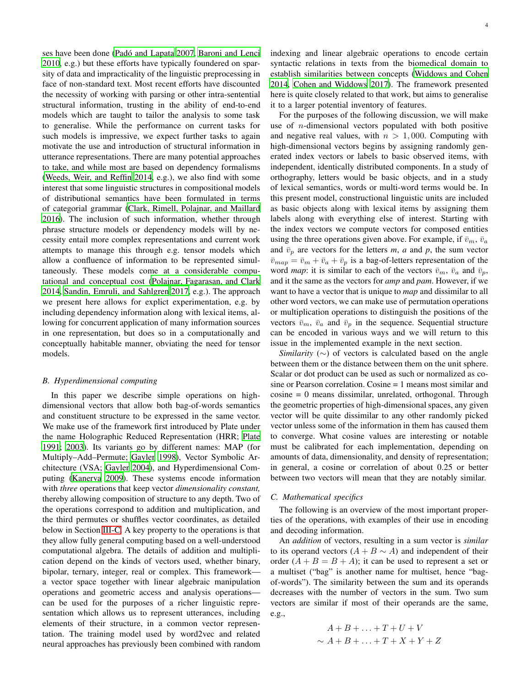ses have been done (Padó and Lapata 2007, [Baroni and Lenci](#page-8-18) [2010,](#page-8-18) e.g.) but these efforts have typically foundered on sparsity of data and impracticality of the linguistic preprocessing in face of non-standard text. Most recent efforts have discounted the necessity of working with parsing or other intra-sentential structural information, trusting in the ability of end-to-end models which are taught to tailor the analysis to some task to generalise. While the performance on current tasks for such models is impressive, we expect further tasks to again motivate the use and introduction of structural information in utterance representations. There are many potential approaches to take, and while most are based on dependency formalisms [\(Weeds, Weir, and Reffin 2014](#page-9-1), e.g.), we also find with some interest that some linguistic structures in compositional models of distributional semantics have been formulated in terms of categorial grammar [\(Clark, Rimell, Polajnar, and Maillard](#page-8-19) [2016\)](#page-8-19). The inclusion of such information, whether through phrase structure models or dependency models will by necessity entail more complex representations and current work attempts to manage this through e.g. tensor models which allow a confluence of information to be represented simultaneously. These models come at a considerable computational and conceptual cost [\(Polajnar, Fagarasan, and Clark](#page-8-20) [2014,](#page-8-20) [Sandin, Emruli, and Sahlgren 2017,](#page-8-21) e.g.). The approach we present here allows for explict experimentation, e.g. by including dependency information along with lexical items, allowing for concurrent application of many information sources in one representation, but does so in a computationally and conceptually habitable manner, obviating the need for tensor models.

## *B. Hyperdimensional computing*

In this paper we describe simple operations on highdimensional vectors that allow both bag-of-words semantics and constituent structure to be expressed in the same vector. We make use of the framework first introduced by Plate under the name Holographic Reduced Representation (HRR; [Plate](#page-8-22) [1991;](#page-8-22) [2003\)](#page-8-23). Its variants go by different names: MAP (for Multiply–Add–Permute; [Gayler 1998\)](#page-8-24), Vector Symbolic Architecture (VSA; [Gayler 2004\)](#page-8-25), and Hyperdimensional Computing [\(Kanerva 2009\)](#page-8-26). These systems encode information with *three* operations that keep vector *dimensionality constant,* thereby allowing composition of structure to any depth. Two of the operations correspond to addition and multiplication, and the third permutes or shuffles vector coordinates, as detailed below in Section [III-C.](#page-3-0) A key property to the operations is that they allow fully general computing based on a well-understood computational algebra. The details of addition and multiplication depend on the kinds of vectors used, whether binary, bipolar, ternary, integer, real or complex. This framework a vector space together with linear algebraic manipulation operations and geometric access and analysis operations can be used for the purposes of a richer linguistic representation which allows us to represent utterances, including elements of their structure, in a common vector representation. The training model used by word2vec and related neural approaches has previously been combined with random indexing and linear algebraic operations to encode certain syntactic relations in texts from the biomedical domain to establish similarities between concepts [\(Widdows and Cohen](#page-9-2) [2014,](#page-9-2) [Cohen and Widdows 2017\)](#page-8-27). The framework presented here is quite closely related to that work, but aims to generalise it to a larger potential inventory of features.

For the purposes of the following discussion, we will make use of *n*-dimensional vectors populated with both positive and negative real values, with  $n > 1,000$ . Computing with high-dimensional vectors begins by assigning randomly generated index vectors or labels to basic observed items, with independent, identically distributed components. In a study of orthography, letters would be basic objects, and in a study of lexical semantics, words or multi-word terms would be. In this present model, constructional linguistic units are included as basic objects along with lexical items by assigning them labels along with everything else of interest. Starting with the index vectors we compute vectors for composed entities using the three operations given above. For example, if  $\bar{v}_m$ ,  $\bar{v}_a$ and  $\bar{v}_p$  are vectors for the letters *m*, *a* and *p*, the sum vector  $\bar{v}_{map} = \bar{v}_m + \bar{v}_a + \bar{v}_p$  is a bag-of-letters representation of the word *map*: it is similar to each of the vectors  $\bar{v}_m$ ,  $\bar{v}_a$  and  $\bar{v}_p$ , and it the same as the vectors for *amp* and *pam*. However, if we want to have a vector that is unique to *map* and dissimilar to all other word vectors, we can make use of permutation operations or multiplication operations to distinguish the positions of the vectors  $\bar{v}_m$ ,  $\bar{v}_a$  and  $\bar{v}_p$  in the sequence. Sequential structure can be encoded in various ways and we will return to this issue in the implemented example in the next section.

*Similarity* (∼) of vectors is calculated based on the angle between them or the distance between them on the unit sphere. Scalar or dot product can be used as such or normalized as cosine or Pearson correlation. Cosine = 1 means most similar and cosine = 0 means dissimilar, unrelated, orthogonal. Through the geometric properties of high-dimensional spaces, any given vector will be quite dissimilar to any other randomly picked vector unless some of the information in them has caused them to converge. What cosine values are interesting or notable must be calibrated for each implementation, depending on amounts of data, dimensionality, and density of representation; in general, a cosine or correlation of about 0.25 or better between two vectors will mean that they are notably similar.

# <span id="page-3-0"></span>*C. Mathematical specifics*

The following is an overview of the most important properties of the operations, with examples of their use in encoding and decoding information.

An *addition* of vectors, resulting in a sum vector is *similar* to its operand vectors  $(A + B \sim A)$  and independent of their order  $(A + B = B + A)$ ; it can be used to represent a set or a multiset ("bag" is another name for multiset, hence "bagof-words"). The similarity between the sum and its operands decreases with the number of vectors in the sum. Two sum vectors are similar if most of their operands are the same, e.g.,

$$
A+B+\ldots+T+U+V
$$
  

$$
\sim A+B+\ldots+T+X+Y+Z
$$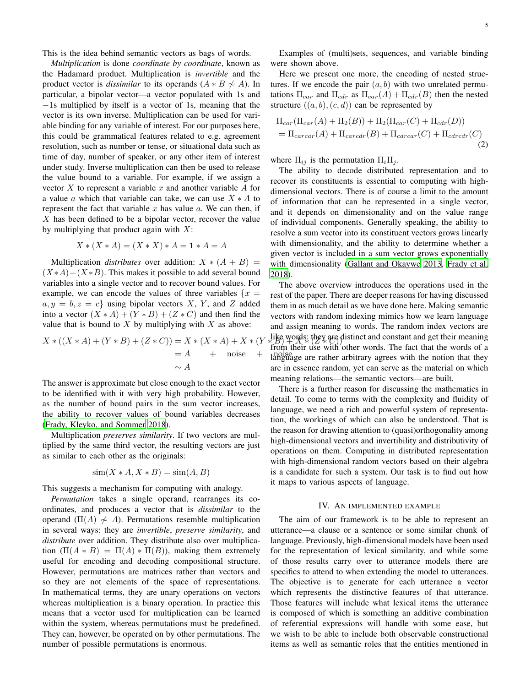This is the idea behind semantic vectors as bags of words.

*Multiplication* is done *coordinate by coordinate*, known as the Hadamard product. Multiplication is *invertible* and the product vector is *dissimilar* to its operands  $(A * B \nless A)$ . In particular, a bipolar vector—a vector populated with 1s and −1s multiplied by itself is a vector of 1s, meaning that the vector is its own inverse. Multiplication can be used for variable binding for any variable of interest. For our purposes here, this could be grammatical features related to e.g. agreement resolution, such as number or tense, or situational data such as time of day, number of speaker, or any other item of interest under study. Inverse multiplication can then be used to release the value bound to a variable. For example, if we assign a vector  $X$  to represent a variable  $x$  and another variable  $A$  for a value a which that variable can take, we can use  $X \ast A$  to represent the fact that variable  $x$  has value  $a$ . We can then, if  $X$  has been defined to be a bipolar vector, recover the value by multiplying that product again with  $X$ :

$$
X * (X * A) = (X * X) * A = \mathbf{1} * A = A
$$

Multiplication *distributes* over addition:  $X * (A + B) =$  $(X*A)+(X*B)$ . This makes it possible to add several bound variables into a single vector and to recover bound values. For example, we can encode the values of three variables  $\{x =$  $a, y = b, z = c$  using bipolar vectors X, Y, and Z added into a vector  $(X * A) + (Y * B) + (Z * C)$  and then find the value that is bound to  $X$  by multiplying with  $X$  as above:

$$
X * ((X * A) + (Y * B) + (Z * C)) = X * (X * A) + X * (Y
$$
  
= A + noise +  
 $\sim A$ 

The answer is approximate but close enough to the exact vector to be identified with it with very high probability. However, as the number of bound pairs in the sum vector increases, the ability to recover values of bound variables decreases [\(Frady, Kleyko, and Sommer 2018\)](#page-8-28).

Multiplication *preserves similarity*. If two vectors are multiplied by the same third vector, the resulting vectors are just as similar to each other as the originals:

$$
\text{sim}(X \ast A, X \ast B) = \text{sim}(A, B)
$$

This suggests a mechanism for computing with analogy.

*Permutation* takes a single operand, rearranges its coordinates, and produces a vector that is *dissimilar* to the operand  $(\Pi(A) \nsim A)$ . Permutations resemble multiplication in several ways: they are *invertible*, *preserve similarity*, and *distribute* over addition. They distribute also over multiplication  $(\Pi(A * B) = \Pi(A) * \Pi(B))$ , making them extremely useful for encoding and decoding compositional structure. However, permutations are matrices rather than vectors and so they are not elements of the space of representations. In mathematical terms, they are unary operations on vectors whereas multiplication is a binary operation. In practice this means that a vector used for multiplication can be learned within the system, whereas permutations must be predefined. They can, however, be operated on by other permutations. The number of possible permutations is enormous.

Examples of (multi)sets, sequences, and variable binding were shown above.

Here we present one more, the encoding of nested structures. If we encode the pair  $(a, b)$  with two unrelated permutations  $\Pi_{car}$  and  $\Pi_{cdr}$  as  $\Pi_{car}(A) + \Pi_{cdr}(B)$  then the nested structure  $((a, b), (c, d))$  can be represented by

$$
\Pi_{car}(\Pi_{car}(A) + \Pi_2(B)) + \Pi_2(\Pi_{car}(C) + \Pi_{cdr}(D))
$$
\n
$$
= \Pi_{carcar}(A) + \Pi_{carcdr}(B) + \Pi_{carcar}(C) + \Pi_{cdrcdr}(C)
$$
\n(2)

where  $\Pi_{ij}$  is the permutation  $\Pi_i \Pi_j$ .

The ability to decode distributed representation and to recover its constituents is essential to computing with highdimensional vectors. There is of course a limit to the amount of information that can be represented in a single vector, and it depends on dimensionality and on the value range of individual components. Generally speaking, the ability to resolve a sum vector into its constituent vectors grows linearly with dimensionality, and the ability to determine whether a given vector is included in a sum vector grows exponentially with dimensionality [\(Gallant and Okaywe 2013](#page-8-29), [Frady et al.](#page-8-28) [2018\)](#page-8-28).

 $X * ((X * A) + (Y * B) + (Z * C)) = X * (X * A) + X * (Y * B) + X * (Z * C)$  distinct and constant and get their meaning  $= A + \text{noise} + \text{noise}$  + noise + language are rather arbitrary agrees with the notion that they The above overview introduces the operations used in the rest of the paper. There are deeper reasons for having discussed them in as much detail as we have done here. Making semantic vectors with random indexing mimics how we learn language and assign meaning to words. The random index vectors are from their use with other words. The fact that the words of a are in essence random, yet can serve as the material on which meaning relations—the semantic vectors—are built.

> There is a further reason for discussing the mathematics in detail. To come to terms with the complexity and fluidity of language, we need a rich and powerful system of representation, the workings of which can also be understood. That is the reason for drawing attention to (quasi)orthogonality among high-dimensional vectors and invertibility and distributivity of operations on them. Computing in distributed representation with high-dimensional random vectors based on their algebra is a candidate for such a system. Our task is to find out how it maps to various aspects of language.

#### IV. AN IMPLEMENTED EXAMPLE

The aim of our framework is to be able to represent an utterance—a clause or a sentence or some similar chunk of language. Previously, high-dimensional models have been used for the representation of lexical similarity, and while some of those results carry over to utterance models there are specifics to attend to when extending the model to utterances. The objective is to generate for each utterance a vector which represents the distinctive features of that utterance. Those features will include what lexical items the utterance is composed of which is something an additive combination of referential expressions will handle with some ease, but we wish to be able to include both observable constructional items as well as semantic roles that the entities mentioned in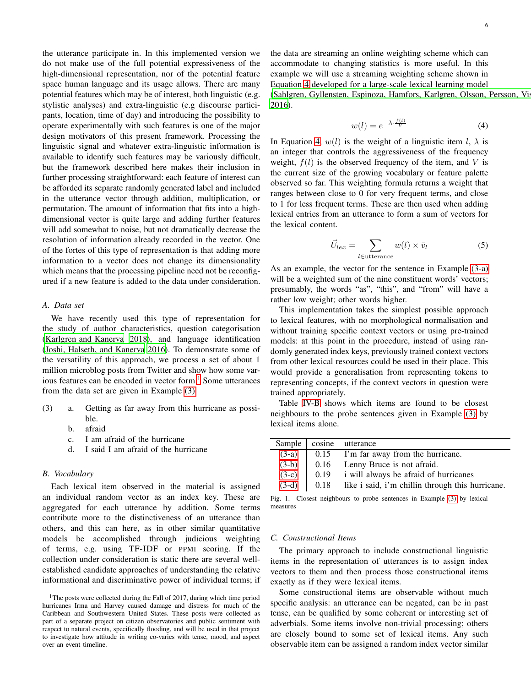the utterance participate in. In this implemented version we do not make use of the full potential expressiveness of the high-dimensional representation, nor of the potential feature space human language and its usage allows. There are many potential features which may be of interest, both linguistic (e.g. stylistic analyses) and extra-linguistic (e.g discourse participants, location, time of day) and introducing the possibility to operate experimentally with such features is one of the major design motivators of this present framework. Processing the linguistic signal and whatever extra-linguistic information is available to identify such features may be variously difficult, but the framework described here makes their inclusion in further processing straightforward: each feature of interest can be afforded its separate randomly generated label and included in the utterance vector through addition, multiplication, or permutation. The amount of information that fits into a highdimensional vector is quite large and adding further features will add somewhat to noise, but not dramatically decrease the resolution of information already recorded in the vector. One of the fortes of this type of representation is that adding more information to a vector does not change its dimensionality which means that the processing pipeline need not be reconfigured if a new feature is added to the data under consideration.

# *A. Data set*

We have recently used this type of representation for the study of author characteristics, question categorisation [\(Karlgren and Kanerva 2018\)](#page-8-30), and language identification [\(Joshi, Halseth, and Kanerva 2016\)](#page-8-31). To demonstrate some of the versatility of this approach, we process a set of about 1 million microblog posts from Twitter and show how some various features can be encoded in vector form. $<sup>1</sup>$  $<sup>1</sup>$  $<sup>1</sup>$  Some utterances</sup> from the data set are given in Example [\(3\).](#page-5-1)

- <span id="page-5-7"></span><span id="page-5-6"></span><span id="page-5-5"></span><span id="page-5-3"></span><span id="page-5-1"></span>(3) a. Getting as far away from this hurricane as possible.
	- b. afraid
	- c. I am afraid of the hurricane
	- d. I said I am afraid of the hurricane

# *B. Vocabulary*

Each lexical item observed in the material is assigned an individual random vector as an index key. These are aggregated for each utterance by addition. Some terms contribute more to the distinctiveness of an utterance than others, and this can here, as in other similar quantitative models be accomplished through judicious weighting of terms, e.g. using TF-IDF or PPMI scoring. If the collection under consideration is static there are several wellestablished candidate approaches of understanding the relative informational and discriminative power of individual terms; if the data are streaming an online weighting scheme which can accommodate to changing statistics is more useful. In this example we will use a streaming weighting scheme shown in Equation [4](#page-5-2) developed for a large-scale lexical learning model (Sahlgren, Gyllensten, Espinoza, Hamfors, Karlgren, Olsson, Persson, Via [2016\)](#page-8-32).

<span id="page-5-2"></span>
$$
w(l) = e^{-\lambda \cdot \frac{f(l)}{V}} \tag{4}
$$

In Equation [4,](#page-5-2)  $w(l)$  is the weight of a linguistic item l,  $\lambda$  is an integer that controls the aggressiveness of the frequency weight,  $f(l)$  is the observed frequency of the item, and V is the current size of the growing vocabulary or feature palette observed so far. This weighting formula returns a weight that ranges between close to 0 for very frequent terms, and close to 1 for less frequent terms. These are then used when adding lexical entries from an utterance to form a sum of vectors for the lexical content.

<span id="page-5-4"></span>
$$
\vec{U}_{lex} = \sum_{l \in \text{utterance}} w(l) \times \bar{v}_l \tag{5}
$$

As an example, the vector for the sentence in Example [\(3-a\)](#page-5-3) will be a weighted sum of the nine constituent words' vectors; presumably, the words "as", "this", and "from" will have a rather low weight; other words higher.

This implementation takes the simplest possible approach to lexical features, with no morphological normalisation and without training specific context vectors or using pre-trained models: at this point in the procedure, instead of using randomly generated index keys, previously trained context vectors from other lexical resources could be used in their place. This would provide a generalisation from representing tokens to representing concepts, if the context vectors in question were trained appropriately.

Table [IV-B](#page-5-4) shows which items are found to be closest neighbours to the probe sentences given in Example [\(3\)](#page-5-1) by lexical items alone.

| Sample  | cosine | utterance                                        |
|---------|--------|--------------------------------------------------|
| $(3-a)$ | 0.15   | I'm far away from the hurricane.                 |
| $(3-b)$ | 0.16   | Lenny Bruce is not afraid.                       |
| $(3-c)$ | 0.19   | <i>i</i> will always be afraid of hurricanes     |
| $(3-d)$ | 0.18   | like i said, i'm chillin through this hurricane. |

Fig. 1. Closest neighbours to probe sentences in Example [\(3\)](#page-5-1) by lexical measures

# *C. Constructional Items*

The primary approach to include constructional linguistic items in the representation of utterances is to assign index vectors to them and then process those constructional items exactly as if they were lexical items.

Some constructional items are observable without much specific analysis: an utterance can be negated, can be in past tense, can be qualified by some coherent or interesting set of adverbials. Some items involve non-trivial processing; others are closely bound to some set of lexical items. Any such observable item can be assigned a random index vector similar

<span id="page-5-0"></span><sup>&</sup>lt;sup>1</sup>The posts were collected during the Fall of 2017, during which time period hurricanes Irma and Harvey caused damage and distress for much of the Caribbean and Southwestern United States. These posts were collected as part of a separate project on citizen observatories and public sentiment with respect to natural events, specifically flooding, and will be used in that project to investigate how attitude in writing co-varies with tense, mood, and aspect over an event timeline.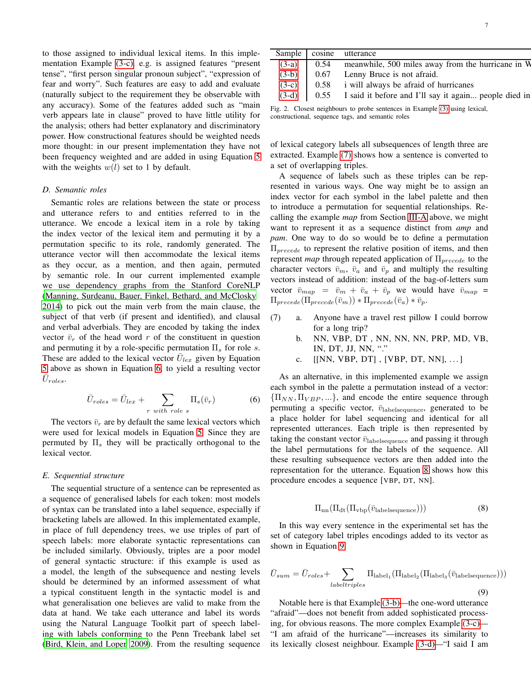to those assigned to individual lexical items. In this implementation Example [\(3-c\),](#page-5-6) e.g. is assigned features "present tense", "first person singular pronoun subject", "expression of fear and worry". Such features are easy to add and evaluate (naturally subject to the requirement they be observable with any accuracy). Some of the features added such as "main verb appears late in clause" proved to have little utility for the analysis; others had better explanatory and discriminatory power. How constructional features should be weighted needs more thought: in our present implementation they have not been frequency weighted and are added in using Equation [5](#page-5-4) with the weights  $w(l)$  set to 1 by default.

# *D. Semantic roles*

Semantic roles are relations between the state or process and utterance refers to and entities referred to in the utterance. We encode a lexical item in a role by taking the index vector of the lexical item and permuting it by a permutation specific to its role, randomly generated. The utterance vector will then accommodate the lexical items as they occur, as a mention, and then again, permuted by semantic role. In our current implemented example we use dependency graphs from the Stanford CoreNLP [\(Manning, Surdeanu, Bauer, Finkel, Bethard, and McClosky](#page-8-33) [2014\)](#page-8-33) to pick out the main verb from the main clause, the subject of that verb (if present and identified), and clausal and verbal adverbials. They are encoded by taking the index vector  $\bar{v}_r$  of the head word r of the constituent in question and permuting it by a role-specific permutation  $\Pi_s$  for role s. These are added to the lexical vector  $\bar{U}_{lex}$  given by Equation [5](#page-5-4) above as shown in Equation [6,](#page-6-0) to yield a resulting vector  $\bar{U}_{roles}.$ 

<span id="page-6-0"></span>
$$
\bar{U}_{roles} = \bar{U}_{lex} + \sum_{r \text{ with role } s} \Pi_s(\bar{v}_r) \tag{6}
$$

The vectors  $\bar{v}_r$  are by default the same lexical vectors which were used for lexical models in Equation [5.](#page-5-4) Since they are permuted by  $\Pi<sub>s</sub>$  they will be practically orthogonal to the lexical vector.

#### *E. Sequential structure*

The sequential structure of a sentence can be represented as a sequence of generalised labels for each token: most models of syntax can be translated into a label sequence, especially if bracketing labels are allowed. In this implementated example, in place of full dependency trees, we use triples of part of speech labels: more elaborate syntactic representations can be included similarly. Obviously, triples are a poor model of general syntactic structure: if this example is used as a model, the length of the subsequence and nesting levels should be determined by an informed assessment of what a typical constituent length in the syntactic model is and what generalisation one believes are valid to make from the data at hand. We take each utterance and label its words using the Natural Language Toolkit part of speech labeling with labels conforming to the Penn Treebank label set [\(Bird, Klein, and Loper 2009\)](#page-8-34). From the resulting sequence

Fig. 2. Closest neighbours to probe sentences in Example [\(3\)](#page-5-1) using lexical, constructional, sequence tags, and semantic roles

of lexical category labels all subsequences of length three are extracted. Example [\(7\)](#page-6-1) shows how a sentence is converted to a set of overlapping triples.

A sequence of labels such as these triples can be represented in various ways. One way might be to assign an index vector for each symbol in the label palette and then to introduce a permutation for sequential relationships. Recalling the example *map* from Section [III-A](#page-1-0) above, we might want to represent it as a sequence distinct from *amp* and *pam*. One way to do so would be to define a permutation  $\Pi_{precede}$  to represent the relative position of items, and then represent *map* through repeated application of Π<sub>precede</sub> to the character vectors  $\bar{v}_m$ ,  $\bar{v}_a$  and  $\bar{v}_p$  and multiply the resulting vectors instead of addition: instead of the bag-of-letters sum vector  $\bar{v}_{map} = \bar{v}_m + \bar{v}_a + \bar{v}_p$  we would have  $\bar{v}_{map}$  =  $\Pi_{precede}(\Pi_{precede}(\bar{v}_m)) * \Pi_{precede}(\bar{v}_a) * \bar{v}_p.$ 

- <span id="page-6-1"></span>(7) a. Anyone have a travel rest pillow I could borrow for a long trip?
	- b. NN, VBP, DT , NN, NN, NN, PRP, MD, VB, IN, DT, JJ, NN, "."
	- c.  $[INN, VBP, DT]$ ,  $[VBP, DT, NN], \ldots]$

As an alternative, in this implemented example we assign each symbol in the palette a permutation instead of a vector:  ${\{\Pi_{NN}, \Pi_{VBP}, ...\}}$ , and encode the entire sequence through permuting a specific vector,  $\bar{v}_{\text{labelsequence}}$ , generated to be a place holder for label sequencing and identical for all represented utterances. Each triple is then represented by taking the constant vector  $\bar{v}_{\text{labelsequence}}$  and passing it through the label permutations for the labels of the sequence. All these resulting subsequence vectors are then added into the representation for the utterance. Equation [8](#page-6-2) shows how this procedure encodes a sequence [VBP, DT, NN].

<span id="page-6-2"></span>
$$
\Pi_{nn}(\Pi_{dt}(\Pi_{vbp}(\bar{v}_{\text{labelsequence}})))\tag{8}
$$

In this way every sentence in the experimental set has the set of category label triples encodings added to its vector as shown in Equation [9.](#page-6-3)

<span id="page-6-3"></span>
$$
\bar{U}_{sum} = \bar{U}_{roles} + \sum_{labeltriples} \Pi_{label1}(\Pi_{label2}(\Pi_{label3}(\bar{v}_{labelsequence}))
$$
\n(9)

Notable here is that Example [\(3-b\)—](#page-5-5)the one-word utterance "afraid"—does not benefit from added sophisticated processing, for obvious reasons. The more complex Example [\(3-c\)—](#page-5-6) "I am afraid of the hurricane"—increases its similarity to its lexically closest neighbour. Example [\(3-d\)—](#page-5-7)"I said I am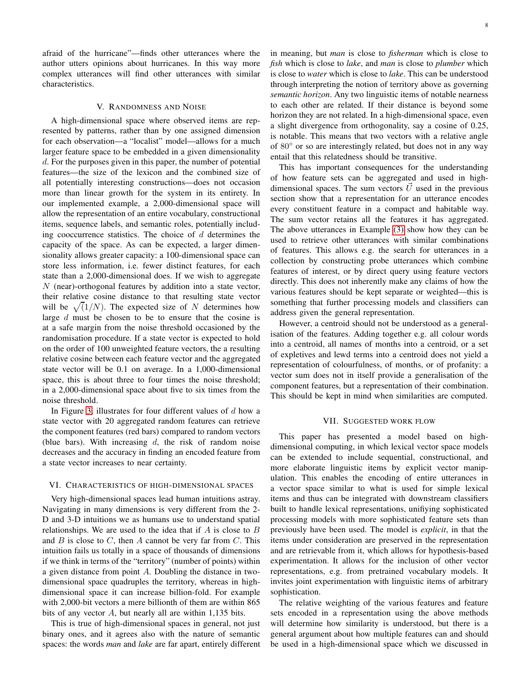afraid of the hurricane"—finds other utterances where the author utters opinions about hurricanes. In this way more complex utterances will find other utterances with similar characteristics.

#### V. RANDOMNESS AND NOISE

A high-dimensional space where observed items are represented by patterns, rather than by one assigned dimension for each observation—a "localist" model—allows for a much larger feature space to be embedded in a given dimensionality d. For the purposes given in this paper, the number of potential features—the size of the lexicon and the combined size of all potentially interesting constructions—does not occasion more than linear growth for the system in its entirety. In our implemented example, a 2,000-dimensional space will allow the representation of an entire vocabulary, constructional items, sequence labels, and semantic roles, potentially including cooccurrence statistics. The choice of  $d$  determines the capacity of the space. As can be expected, a larger dimensionality allows greater capacity: a 100-dimensional space can store less information, i.e. fewer distinct features, for each state than a 2,000-dimensional does. If we wish to aggregate  $N$  (near)-orthogonal features by addition into a state vector, their relative cosine distance to that resulting state vector will be  $\sqrt{(1/N)}$ . The expected size of N determines how large d must be chosen to be to ensure that the cosine is at a safe margin from the noise threshold occasioned by the randomisation procedure. If a state vector is expected to hold on the order of 100 unweighted feature vectors, the a resulting relative cosine between each feature vector and the aggregated state vector will be 0.1 on average. In a 1,000-dimensional space, this is about three to four times the noise threshold; in a 2,000-dimensional space about five to six times from the noise threshold.

In Figure [3,](#page-8-35) illustrates for four different values of  $d$  how a state vector with 20 aggregated random features can retrieve the component features (red bars) compared to random vectors (blue bars). With increasing  $d$ , the risk of random noise decreases and the accuracy in finding an encoded feature from a state vector increases to near certainty.

# <span id="page-7-0"></span>VI. CHARACTERISTICS OF HIGH-DIMENSIONAL SPACES

Very high-dimensional spaces lead human intuitions astray. Navigating in many dimensions is very different from the 2- D and 3-D intuitions we as humans use to understand spatial relationships. We are used to the idea that if  $A$  is close to  $B$ and  $B$  is close to  $C$ , then  $A$  cannot be very far from  $C$ . This intuition fails us totally in a space of thousands of dimensions if we think in terms of the "territory" (number of points) within a given distance from point A. Doubling the distance in twodimensional space quadruples the territory, whereas in highdimensional space it can increase billion-fold. For example with 2,000-bit vectors a mere billionth of them are within 865 bits of any vector A, but nearly all are within 1,135 bits.

This is true of high-dimensional spaces in general, not just binary ones, and it agrees also with the nature of semantic spaces: the words *man* and *lake* are far apart, entirely different

in meaning, but *man* is close to *fisherman* which is close to *fish* which is close to *lake*, and *man* is close to *plumber* which is close to *water* which is close to *lake*. This can be understood through interpreting the notion of territory above as governing *semantic horizon*. Any two linguistic items of notable nearness to each other are related. If their distance is beyond some horizon they are not related. In a high-dimensional space, even a slight divergence from orthogonality, say a cosine of 0.25, is notable. This means that two vectors with a relative angle of 80 $\degree$  or so are interestingly related, but does not in any way entail that this relatedness should be transitive.

This has important consequences for the understanding of how feature sets can be aggregated and used in highdimensional spaces. The sum vectors  $\vec{U}$  used in the previous section show that a representation for an utterance encodes every constituent feature in a compact and habitable way. The sum vector retains all the features it has aggregated. The above utterances in Example [\(3\)](#page-5-1) show how they can be used to retrieve other utterances with similar combinations of features. This allows e.g. the search for utterances in a collection by constructing probe utterances which combine features of interest, or by direct query using feature vectors directly. This does not inherently make any claims of how the various features should be kept separate or weighted—this is something that further processing models and classifiers can address given the general representation.

However, a centroid should not be understood as a generalisation of the features. Adding together e.g. all colour words into a centroid, all names of months into a centroid, or a set of expletives and lewd terms into a centroid does not yield a representation of colourfulness, of months, or of profanity: a vector sum does not in itself provide a generalisation of the component features, but a representation of their combination. This should be kept in mind when similarities are computed.

## VII. SUGGESTED WORK FLOW

This paper has presented a model based on highdimensional computing, in which lexical vector space models can be extended to include sequential, constructional, and more elaborate linguistic items by explicit vector manipulation. This enables the encoding of entire utterances in a vector space similar to what is used for simple lexical items and thus can be integrated with downstream classifiers built to handle lexical representations, unifiying sophisticated processing models with more sophisticated feature sets than previously have been used. The model is *explicit*, in that the items under consideration are preserved in the representation and are retrievable from it, which allows for hypothesis-based experimentation. It allows for the inclusion of other vector representations, e.g. from pretrained vocabulary models. It invites joint experimentation with linguistic items of arbitrary sophistication.

The relative weighting of the various features and feature sets encoded in a representation using the above methods will determine how similarity is understood, but there is a general argument about how multiple features can and should be used in a high-dimensional space which we discussed in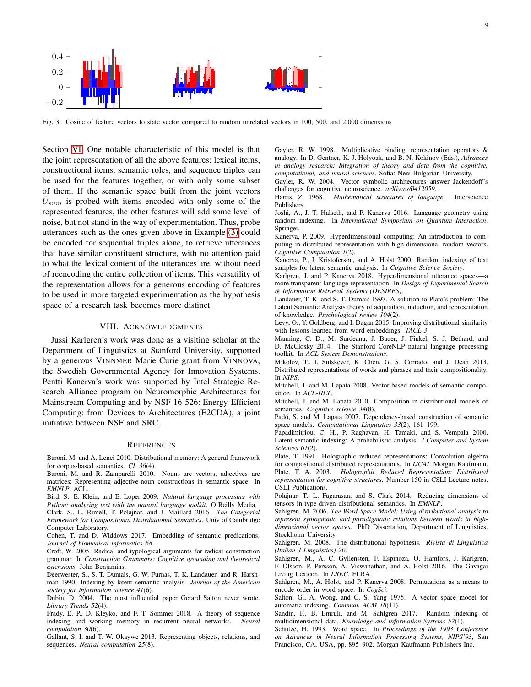

<span id="page-8-35"></span>Fig. 3. Cosine of feature vectors to state vector compared to random unrelated vectors in 100, 500, and 2,000 dimensions

Section [VI.](#page-7-0) One notable characteristic of this model is that the joint representation of all the above features: lexical items, constructional items, semantic roles, and sequence triples can be used for the features together, or with only some subset of them. If the semantic space built from the joint vectors  $\overline{U}_{sum}$  is probed with items encoded with only some of the represented features, the other features will add some level of noise, but not stand in the way of experimentation. Thus, probe utterances such as the ones given above in Example [\(3\)](#page-5-1) could be encoded for sequential triples alone, to retrieve utterances that have similar constituent structure, with no attention paid to what the lexical content of the utterances are, without need of reencoding the entire collection of items. This versatility of the representation allows for a generous encoding of features to be used in more targeted experimentation as the hypothesis space of a research task becomes more distinct.

#### VIII. ACKNOWLEDGMENTS

Jussi Karlgren's work was done as a visiting scholar at the Department of Linguistics at Stanford University, supported by a generous VINNMER Marie Curie grant from VINNOVA, the Swedish Governmental Agency for Innovation Systems. Pentti Kanerva's work was supported by Intel Strategic Research Alliance program on Neuromorphic Architectures for Mainstream Computing and by NSF 16-526: Energy-Efficient Computing: from Devices to Architectures (E2CDA), a joint initiative between NSF and SRC.

#### **REFERENCES**

<span id="page-8-18"></span>Baroni, M. and A. Lenci 2010. Distributional memory: A general framework for corpus-based semantics. *CL 36*(4).

<span id="page-8-13"></span>Baroni, M. and R. Zamparelli 2010. Nouns are vectors, adjectives are matrices: Representing adjective-noun constructions in semantic space. In *EMNLP*. ACL.

<span id="page-8-34"></span>Bird, S., E. Klein, and E. Loper 2009. *Natural language processing with Python: analyzing text with the natural language toolkit*. O'Reilly Media.

<span id="page-8-19"></span>Clark, S., L. Rimell, T. Polajnar, and J. Maillard 2016. *The Categorial Framework for Compositional Distributional Semantics*. Univ of Cambridge Computer Laboratory.

<span id="page-8-27"></span>Cohen, T. and D. Widdows 2017. Embedding of semantic predications. *Journal of biomedical informatics 68*.

<span id="page-8-3"></span>Croft, W. 2005. Radical and typological arguments for radical construction grammar. In *Construction Grammars: Cognitive grounding and theoretical extensions*. John Benjamins.

<span id="page-8-8"></span>Deerwester, S., S. T. Dumais, G. W. Furnas, T. K. Landauer, and R. Harshman 1990. Indexing by latent semantic analysis. *Journal of the American society for information science 41*(6).

<span id="page-8-5"></span>Dubin, D. 2004. The most influential paper Gerard Salton never wrote. *Library Trends 52*(4).

<span id="page-8-28"></span>Frady, E. P., D. Kleyko, and F. T. Sommer 2018. A theory of sequence indexing and working memory in recurrent neural networks. *Neural computation 30*(6).

<span id="page-8-29"></span>Gallant, S. I. and T. W. Okaywe 2013. Representing objects, relations, and sequences. *Neural computation 25*(8).

<span id="page-8-24"></span>Gayler, R. W. 1998. Multiplicative binding, representation operators & analogy. In D. Gentner, K. J. Holyoak, and B. N. Kokinov (Eds.), *Advances in analogy research: Integration of theory and data from the cognitive, computational, and neural sciences*. Sofia: New Bulgarian University.

<span id="page-8-25"></span>Gayler, R. W. 2004. Vector symbolic architectures answer Jackendoff's challenges for cognitive neuroscience. *arXiv:cs/0412059*.

<span id="page-8-0"></span>Harris, Z. 1968. *Mathematical structures of language*. Interscience Publishers.

<span id="page-8-31"></span>Joshi, A., J. T. Halseth, and P. Kanerva 2016. Language geometry using random indexing. In *International Symposium on Quantum Interaction*. Springer.

<span id="page-8-26"></span>Kanerva, P. 2009. Hyperdimensional computing: An introduction to computing in distributed representation with high-dimensional random vectors. *Cognitive Computation 1*(2).

<span id="page-8-11"></span>Kanerva, P., J. Kristoferson, and A. Holst 2000. Random indexing of text samples for latent semantic analysis. In *Cognitive Science Society*.

<span id="page-8-30"></span>Karlgren, J. and P. Kanerva 2018. Hyperdimensional utterance spaces—a more transparent language representation. In *Design of Experimental Search & Information Retrieval Systems (DESIRES)*.

<span id="page-8-9"></span>Landauer, T. K. and S. T. Dumais 1997. A solution to Plato's problem: The Latent Semantic Analysis theory of acquisition, induction, and representation of knowledge. *Psychological review 104*(2).

<span id="page-8-2"></span>Levy, O., Y. Goldberg, and I. Dagan 2015. Improving distributional similarity with lessons learned from word embeddings. *TACL 3*.

<span id="page-8-33"></span>Manning, C. D., M. Surdeanu, J. Bauer, J. Finkel, S. J. Bethard, and D. McClosky 2014. The Stanford CoreNLP natural language processing toolkit. In *ACL System Demonstrations*.

<span id="page-8-16"></span>Mikolov, T., I. Sutskever, K. Chen, G. S. Corrado, and J. Dean 2013. Distributed representations of words and phrases and their compositionality. In *NIPS*.

<span id="page-8-14"></span>Mitchell, J. and M. Lapata 2008. Vector-based models of semantic composition. In *ACL-HLT*.

<span id="page-8-15"></span>Mitchell, J. and M. Lapata 2010. Composition in distributional models of semantics. *Cognitive science 34*(8).

<span id="page-8-17"></span>Padó, S. and M. Lapata 2007. Dependency-based construction of semantic space models. *Computational Linguistics 33*(2), 161–199.

<span id="page-8-10"></span>Papadimitriou, C. H., P. Raghavan, H. Tamaki, and S. Vempala 2000. Latent semantic indexing: A probabilistic analysis. *J Computer and System Sciences 61*(2).

<span id="page-8-23"></span><span id="page-8-22"></span>Plate, T. 1991. Holographic reduced representations: Convolution algebra for compositional distributed representations. In *IJCAI*. Morgan Kaufmann. Plate, T. A. 2003. *Holographic Reduced Representation: Distributed representation for cognitive structures*. Number 150 in CSLI Lecture notes. CSLI Publications.

<span id="page-8-20"></span>Polajnar, T., L. Fagarasan, and S. Clark 2014. Reducing dimensions of tensors in type-driven distributional semantics. In *EMNLP*.

<span id="page-8-7"></span>Sahlgren, M. 2006. *The Word-Space Model: Using distributional analysis to represent syntagmatic and paradigmatic relations between words in highdimensional vector spaces*. PhD Dissertation, Department of Linguistics, Stockholm University.

<span id="page-8-1"></span>Sahlgren, M. 2008. The distributional hypothesis. *Rivista di Linguistica (Italian J Linguistics) 20*.

<span id="page-8-32"></span>Sahlgren, M., A. C. Gyllensten, F. Espinoza, O. Hamfors, J. Karlgren, F. Olsson, P. Persson, A. Viswanathan, and A. Holst 2016. The Gavagai Living Lexicon. In *LREC*. ELRA.

<span id="page-8-12"></span>Sahlgren, M., A. Holst, and P. Kanerva 2008. Permutations as a means to encode order in word space. In *CogSci*.

<span id="page-8-4"></span>Salton, G., A. Wong, and C. S. Yang 1975. A vector space model for automatic indexing. *Commun. ACM 18*(11).

<span id="page-8-21"></span>Sandin, F., B. Emruli, and M. Sahlgren 2017. Random indexing of multidimensional data. *Knowledge and Information Systems 52*(1).

<span id="page-8-6"></span>Schütze, H. 1993. Word space. In Proceedings of the 1993 Conference *on Advances in Neural Information Processing Systems, NIPS'93*, San Francisco, CA, USA, pp. 895–902. Morgan Kaufmann Publishers Inc.